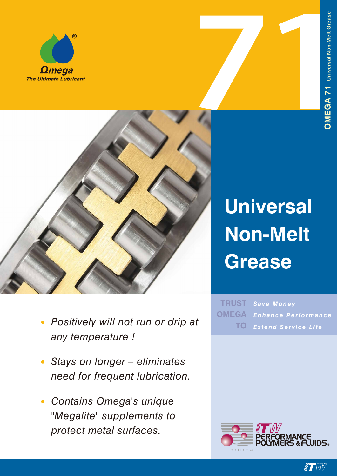



- *• Positively will not run or drip at any temperature !*
- *• Stays on longer – eliminates need for frequent lubrication.*
- *• Contains Omega's unique "Megalite" supplements to protect metal surfaces.*

# **Universal Non-Melt Grease**

*Save Money Enhance Performance Extend Service Life* **TRUST OMEGA TO**



**IF EXAMINATION**